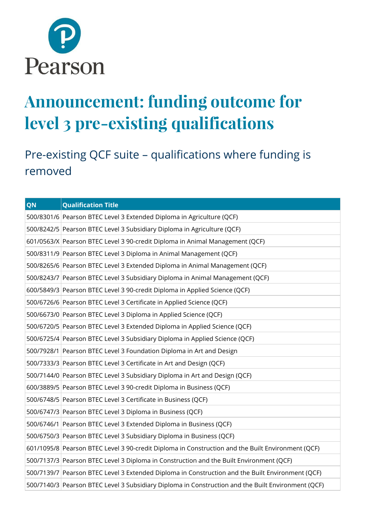

## **Announcement: funding outcome for level 3 pre-existing qualifications**

Pre-existing QCF suite – qualifications where funding is removed

| QN | <b>Qualification Title</b>                                                                         |
|----|----------------------------------------------------------------------------------------------------|
|    | 500/8301/6 Pearson BTEC Level 3 Extended Diploma in Agriculture (QCF)                              |
|    | 500/8242/5 Pearson BTEC Level 3 Subsidiary Diploma in Agriculture (QCF)                            |
|    | 601/0563/X Pearson BTEC Level 3 90-credit Diploma in Animal Management (QCF)                       |
|    | 500/8311/9 Pearson BTEC Level 3 Diploma in Animal Management (QCF)                                 |
|    | 500/8265/6 Pearson BTEC Level 3 Extended Diploma in Animal Management (QCF)                        |
|    | 500/8243/7 Pearson BTEC Level 3 Subsidiary Diploma in Animal Management (QCF)                      |
|    | 600/5849/3 Pearson BTEC Level 3 90-credit Diploma in Applied Science (QCF)                         |
|    | 500/6726/6 Pearson BTEC Level 3 Certificate in Applied Science (QCF)                               |
|    | 500/6673/0 Pearson BTEC Level 3 Diploma in Applied Science (QCF)                                   |
|    | 500/6720/5 Pearson BTEC Level 3 Extended Diploma in Applied Science (QCF)                          |
|    | 500/6725/4 Pearson BTEC Level 3 Subsidiary Diploma in Applied Science (QCF)                        |
|    | 500/7928/1 Pearson BTEC Level 3 Foundation Diploma in Art and Design                               |
|    | 500/7333/3 Pearson BTEC Level 3 Certificate in Art and Design (QCF)                                |
|    | 500/7144/0 Pearson BTEC Level 3 Subsidiary Diploma in Art and Design (QCF)                         |
|    | 600/3889/5 Pearson BTEC Level 3 90-credit Diploma in Business (QCF)                                |
|    | 500/6748/5 Pearson BTEC Level 3 Certificate in Business (QCF)                                      |
|    | 500/6747/3 Pearson BTEC Level 3 Diploma in Business (QCF)                                          |
|    | 500/6746/1 Pearson BTEC Level 3 Extended Diploma in Business (QCF)                                 |
|    | 500/6750/3 Pearson BTEC Level 3 Subsidiary Diploma in Business (QCF)                               |
|    | 601/1095/8 Pearson BTEC Level 3 90-credit Diploma in Construction and the Built Environment (QCF)  |
|    | 500/7137/3 Pearson BTEC Level 3 Diploma in Construction and the Built Environment (QCF)            |
|    | 500/7139/7 Pearson BTEC Level 3 Extended Diploma in Construction and the Built Environment (QCF)   |
|    | 500/7140/3 Pearson BTEC Level 3 Subsidiary Diploma in Construction and the Built Environment (QCF) |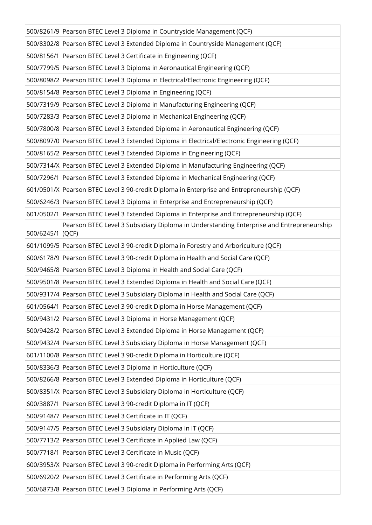|                  | 500/8261/9 Pearson BTEC Level 3 Diploma in Countryside Management (QCF)                     |
|------------------|---------------------------------------------------------------------------------------------|
|                  | 500/8302/8 Pearson BTEC Level 3 Extended Diploma in Countryside Management (QCF)            |
|                  | 500/8156/1 Pearson BTEC Level 3 Certificate in Engineering (QCF)                            |
|                  | 500/7799/5 Pearson BTEC Level 3 Diploma in Aeronautical Engineering (QCF)                   |
|                  | 500/8098/2 Pearson BTEC Level 3 Diploma in Electrical/Electronic Engineering (QCF)          |
|                  | 500/8154/8 Pearson BTEC Level 3 Diploma in Engineering (QCF)                                |
|                  | 500/7319/9 Pearson BTEC Level 3 Diploma in Manufacturing Engineering (QCF)                  |
|                  | 500/7283/3 Pearson BTEC Level 3 Diploma in Mechanical Engineering (QCF)                     |
|                  | 500/7800/8 Pearson BTEC Level 3 Extended Diploma in Aeronautical Engineering (QCF)          |
|                  | 500/8097/0 Pearson BTEC Level 3 Extended Diploma in Electrical/Electronic Engineering (QCF) |
|                  | 500/8165/2 Pearson BTEC Level 3 Extended Diploma in Engineering (QCF)                       |
|                  | 500/7314/X Pearson BTEC Level 3 Extended Diploma in Manufacturing Engineering (QCF)         |
|                  | 500/7296/1 Pearson BTEC Level 3 Extended Diploma in Mechanical Engineering (QCF)            |
|                  | 601/0501/X Pearson BTEC Level 3 90-credit Diploma in Enterprise and Entrepreneurship (QCF)  |
|                  | 500/6246/3 Pearson BTEC Level 3 Diploma in Enterprise and Entrepreneurship (QCF)            |
|                  | 601/0502/1 Pearson BTEC Level 3 Extended Diploma in Enterprise and Entrepreneurship (QCF)   |
| 500/6245/1 (QCF) | Pearson BTEC Level 3 Subsidiary Diploma in Understanding Enterprise and Entrepreneurship    |
|                  | 601/1099/5 Pearson BTEC Level 3 90-credit Diploma in Forestry and Arboriculture (QCF)       |
|                  | 600/6178/9 Pearson BTEC Level 3 90-credit Diploma in Health and Social Care (QCF)           |
|                  | 500/9465/8 Pearson BTEC Level 3 Diploma in Health and Social Care (QCF)                     |
|                  | 500/9501/8 Pearson BTEC Level 3 Extended Diploma in Health and Social Care (QCF)            |
|                  | 500/9317/4 Pearson BTEC Level 3 Subsidiary Diploma in Health and Social Care (QCF)          |
|                  | 601/0564/1 Pearson BTEC Level 3 90-credit Diploma in Horse Management (QCF)                 |
|                  | 500/9431/2 Pearson BTEC Level 3 Diploma in Horse Management (QCF)                           |
|                  | 500/9428/2 Pearson BTEC Level 3 Extended Diploma in Horse Management (QCF)                  |
|                  | 500/9432/4 Pearson BTEC Level 3 Subsidiary Diploma in Horse Management (QCF)                |
|                  | 601/1100/8 Pearson BTEC Level 3 90-credit Diploma in Horticulture (QCF)                     |
|                  | 500/8336/3 Pearson BTEC Level 3 Diploma in Horticulture (QCF)                               |
|                  | 500/8266/8 Pearson BTEC Level 3 Extended Diploma in Horticulture (QCF)                      |
|                  | 500/8351/X Pearson BTEC Level 3 Subsidiary Diploma in Horticulture (QCF)                    |
|                  | 600/3887/1 Pearson BTEC Level 3 90-credit Diploma in IT (QCF)                               |
|                  | 500/9148/7 Pearson BTEC Level 3 Certificate in IT (QCF)                                     |
|                  | 500/9147/5 Pearson BTEC Level 3 Subsidiary Diploma in IT (QCF)                              |
|                  | 500/7713/2 Pearson BTEC Level 3 Certificate in Applied Law (QCF)                            |
|                  | 500/7718/1 Pearson BTEC Level 3 Certificate in Music (QCF)                                  |
|                  | 600/3953/X Pearson BTEC Level 3 90-credit Diploma in Performing Arts (QCF)                  |
|                  | 500/6920/2 Pearson BTEC Level 3 Certificate in Performing Arts (QCF)                        |
|                  | 500/6873/8 Pearson BTEC Level 3 Diploma in Performing Arts (QCF)                            |